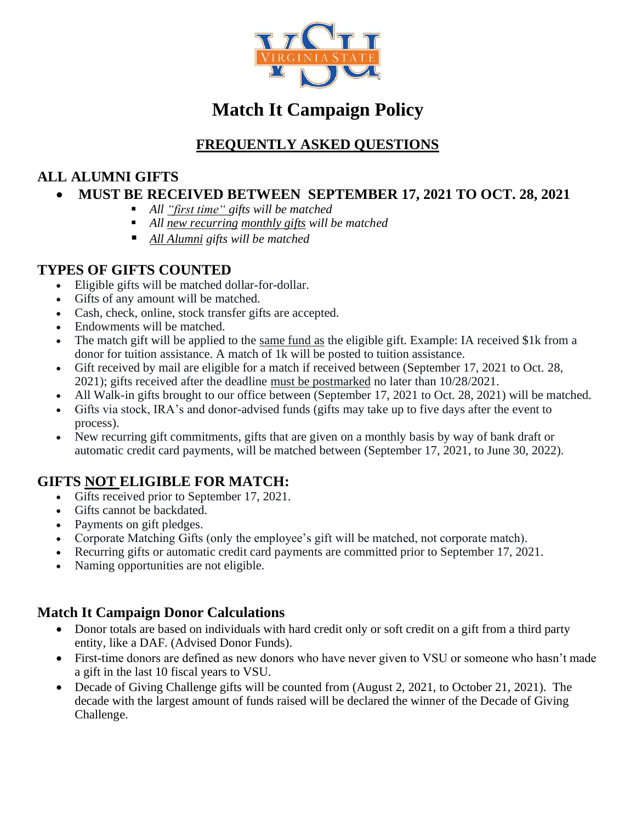

# **Match It Campaign Policy**

### **FREQUENTLY ASKED QUESTIONS**

### **ALL ALUMNI GIFTS**

#### • **MUST BE RECEIVED BETWEEN SEPTEMBER 17, 2021 TO OCT. 28, 2021**

- *All "first time" gifts will be matched*
- *All new recurring monthly gifts will be matched*
- *All Alumni gifts will be matched*

#### **TYPES OF GIFTS COUNTED**

- Eligible gifts will be matched dollar-for-dollar.
- Gifts of any amount will be matched.
- Cash, check, online, stock transfer gifts are accepted.
- Endowments will be matched.
- The match gift will be applied to the same fund as the eligible gift. Example: IA received \$1k from a donor for tuition assistance. A match of 1k will be posted to tuition assistance.
- Gift received by mail are eligible for a match if received between (September 17, 2021 to Oct. 28, 2021); gifts received after the deadline must be postmarked no later than 10/28/2021.
- All Walk-in gifts brought to our office between (September 17, 2021 to Oct. 28, 2021) will be matched.
- Gifts via stock, IRA's and donor-advised funds (gifts may take up to five days after the event to process).
- New recurring gift commitments, gifts that are given on a monthly basis by way of bank draft or automatic credit card payments, will be matched between (September 17, 2021, to June 30, 2022).

#### **GIFTS NOT ELIGIBLE FOR MATCH:**

- Gifts received prior to September 17, 2021.
- Gifts cannot be backdated.
- Payments on gift pledges.
- Corporate Matching Gifts (only the employee's gift will be matched, not corporate match).
- Recurring gifts or automatic credit card payments are committed prior to September 17, 2021.
- Naming opportunities are not eligible.

#### **Match It Campaign Donor Calculations**

- Donor totals are based on individuals with hard credit only or soft credit on a gift from a third party entity, like a DAF. (Advised Donor Funds).
- First-time donors are defined as new donors who have never given to VSU or someone who hasn't made a gift in the last 10 fiscal years to VSU.
- Decade of Giving Challenge gifts will be counted from (August 2, 2021, to October 21, 2021). The decade with the largest amount of funds raised will be declared the winner of the Decade of Giving Challenge.